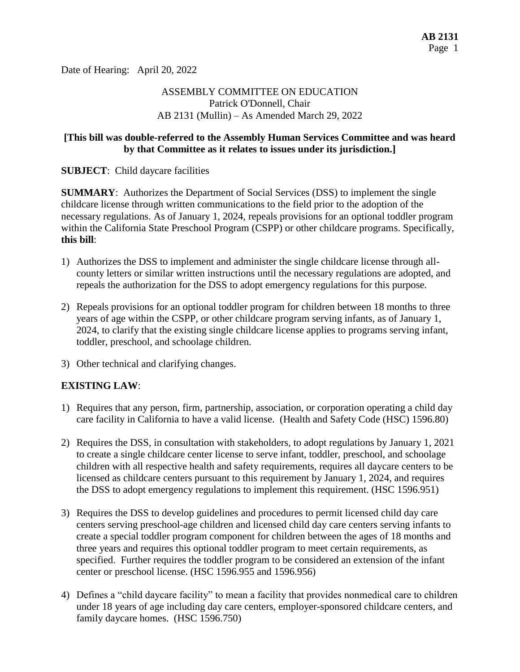Date of Hearing: April 20, 2022

# ASSEMBLY COMMITTEE ON EDUCATION Patrick O'Donnell, Chair AB 2131 (Mullin) – As Amended March 29, 2022

#### **[This bill was double-referred to the Assembly Human Services Committee and was heard by that Committee as it relates to issues under its jurisdiction.]**

**SUBJECT**: Child daycare facilities

**SUMMARY**: Authorizes the Department of Social Services (DSS) to implement the single childcare license through written communications to the field prior to the adoption of the necessary regulations. As of January 1, 2024, repeals provisions for an optional toddler program within the California State Preschool Program (CSPP) or other childcare programs. Specifically, **this bill**:

- 1) Authorizes the DSS to implement and administer the single childcare license through allcounty letters or similar written instructions until the necessary regulations are adopted, and repeals the authorization for the DSS to adopt emergency regulations for this purpose.
- 2) Repeals provisions for an optional toddler program for children between 18 months to three years of age within the CSPP, or other childcare program serving infants, as of January 1, 2024, to clarify that the existing single childcare license applies to programs serving infant, toddler, preschool, and schoolage children.
- 3) Other technical and clarifying changes.

# **EXISTING LAW**:

- 1) Requires that any person, firm, partnership, association, or corporation operating a child day care facility in California to have a valid license. (Health and Safety Code (HSC) 1596.80)
- 2) Requires the DSS, in consultation with stakeholders, to adopt regulations by January 1, 2021 to create a single childcare center license to serve infant, toddler, preschool, and schoolage children with all respective health and safety requirements, requires all daycare centers to be licensed as childcare centers pursuant to this requirement by January 1, 2024, and requires the DSS to adopt emergency regulations to implement this requirement. (HSC 1596.951)
- 3) Requires the DSS to develop guidelines and procedures to permit licensed child day care centers serving preschool-age children and licensed child day care centers serving infants to create a special toddler program component for children between the ages of 18 months and three years and requires this optional toddler program to meet certain requirements, as specified. Further requires the toddler program to be considered an extension of the infant center or preschool license. (HSC 1596.955 and 1596.956)
- 4) Defines a "child daycare facility" to mean a facility that provides nonmedical care to children under 18 years of age including day care centers, employer-sponsored childcare centers, and family daycare homes. (HSC 1596.750)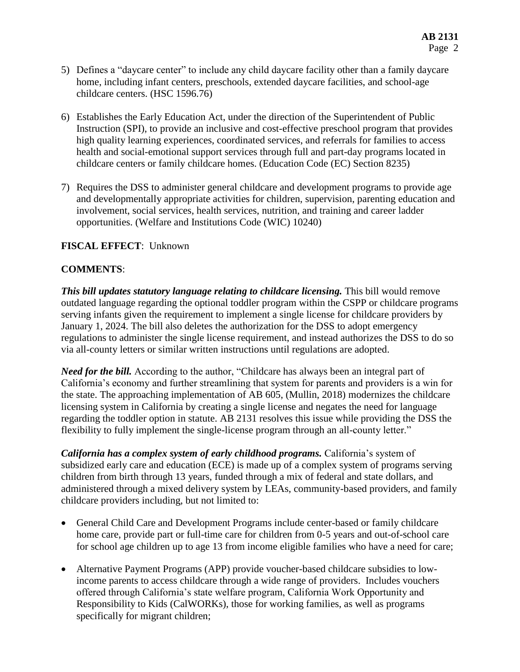- 5) Defines a "daycare center" to include any child daycare facility other than a family daycare home, including infant centers, preschools, extended daycare facilities, and school-age childcare centers. (HSC 1596.76)
- 6) Establishes the Early Education Act, under the direction of the Superintendent of Public Instruction (SPI), to provide an inclusive and cost-effective preschool program that provides high quality learning experiences, coordinated services, and referrals for families to access health and social-emotional support services through full and part-day programs located in childcare centers or family childcare homes. (Education Code (EC) Section 8235)
- 7) Requires the DSS to administer general childcare and development programs to provide age and developmentally appropriate activities for children, supervision, parenting education and involvement, social services, health services, nutrition, and training and career ladder opportunities. (Welfare and Institutions Code (WIC) 10240)

## **FISCAL EFFECT**: Unknown

## **COMMENTS**:

*This bill updates statutory language relating to childcare licensing.* This bill would remove outdated language regarding the optional toddler program within the CSPP or childcare programs serving infants given the requirement to implement a single license for childcare providers by January 1, 2024. The bill also deletes the authorization for the DSS to adopt emergency regulations to administer the single license requirement, and instead authorizes the DSS to do so via all-county letters or similar written instructions until regulations are adopted.

*Need for the bill.* According to the author, "Childcare has always been an integral part of California's economy and further streamlining that system for parents and providers is a win for the state. The approaching implementation of AB 605, (Mullin, 2018) modernizes the childcare licensing system in California by creating a single license and negates the need for language regarding the toddler option in statute. AB 2131 resolves this issue while providing the DSS the flexibility to fully implement the single-license program through an all-county letter."

*California has a complex system of early childhood programs. California's system of* subsidized early care and education (ECE) is made up of a complex system of programs serving children from birth through 13 years, funded through a mix of federal and state dollars, and administered through a mixed delivery system by LEAs, community-based providers, and family childcare providers including, but not limited to:

- General Child Care and Development Programs include center-based or family childcare home care, provide part or full-time care for children from 0-5 years and out-of-school care for school age children up to age 13 from income eligible families who have a need for care;
- Alternative Payment Programs (APP) provide voucher-based childcare subsidies to lowincome parents to access childcare through a wide range of providers. Includes vouchers offered through California's state welfare program, California Work Opportunity and Responsibility to Kids (CalWORKs), those for working families, as well as programs specifically for migrant children;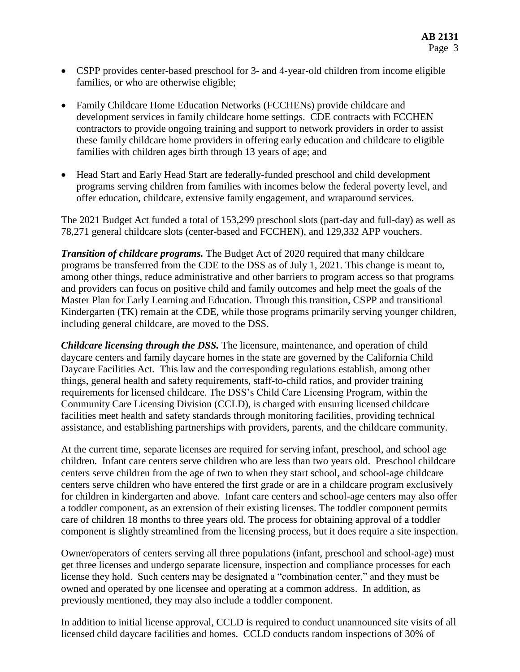- CSPP provides center-based preschool for 3- and 4-year-old children from income eligible families, or who are otherwise eligible;
- Family Childcare Home Education Networks (FCCHENs) provide childcare and development services in family childcare home settings. CDE contracts with FCCHEN contractors to provide ongoing training and support to network providers in order to assist these family childcare home providers in offering early education and childcare to eligible families with children ages birth through 13 years of age; and
- Head Start and Early Head Start are federally-funded preschool and child development programs serving children from families with incomes below the federal poverty level, and offer education, childcare, extensive family engagement, and wraparound services.

The 2021 Budget Act funded a total of 153,299 preschool slots (part-day and full-day) as well as 78,271 general childcare slots (center-based and FCCHEN), and 129,332 APP vouchers.

*Transition of childcare programs.* The Budget Act of 2020 required that many childcare programs be transferred from the CDE to the DSS as of July 1, 2021. This change is meant to, among other things, reduce administrative and other barriers to program access so that programs and providers can focus on positive child and family outcomes and help meet the goals of the Master Plan for Early Learning and Education. Through this transition, CSPP and transitional Kindergarten (TK) remain at the CDE, while those programs primarily serving younger children, including general childcare, are moved to the DSS.

*Childcare licensing through the DSS.* The licensure, maintenance, and operation of child daycare centers and family daycare homes in the state are governed by the California Child Daycare Facilities Act. This law and the corresponding regulations establish, among other things, general health and safety requirements, staff-to-child ratios, and provider training requirements for licensed childcare. The DSS's Child Care Licensing Program, within the Community Care Licensing Division (CCLD), is charged with ensuring licensed childcare facilities meet health and safety standards through monitoring facilities, providing technical assistance, and establishing partnerships with providers, parents, and the childcare community.

At the current time, separate licenses are required for serving infant, preschool, and school age children. Infant care centers serve children who are less than two years old. Preschool childcare centers serve children from the age of two to when they start school, and school-age childcare centers serve children who have entered the first grade or are in a childcare program exclusively for children in kindergarten and above. Infant care centers and school-age centers may also offer a toddler component, as an extension of their existing licenses. The toddler component permits care of children 18 months to three years old. The process for obtaining approval of a toddler component is slightly streamlined from the licensing process, but it does require a site inspection.

Owner/operators of centers serving all three populations (infant, preschool and school-age) must get three licenses and undergo separate licensure, inspection and compliance processes for each license they hold. Such centers may be designated a "combination center," and they must be owned and operated by one licensee and operating at a common address. In addition, as previously mentioned, they may also include a toddler component.

In addition to initial license approval, CCLD is required to conduct unannounced site visits of all licensed child daycare facilities and homes. CCLD conducts random inspections of 30% of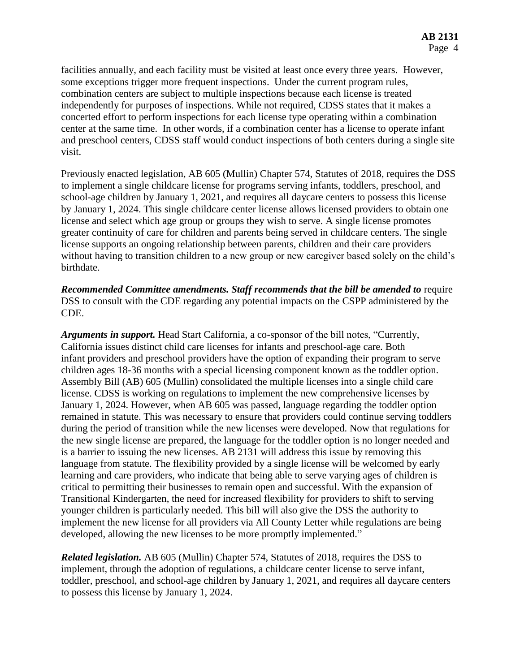facilities annually, and each facility must be visited at least once every three years. However, some exceptions trigger more frequent inspections. Under the current program rules, combination centers are subject to multiple inspections because each license is treated independently for purposes of inspections. While not required, CDSS states that it makes a concerted effort to perform inspections for each license type operating within a combination center at the same time. In other words, if a combination center has a license to operate infant and preschool centers, CDSS staff would conduct inspections of both centers during a single site visit.

Previously enacted legislation, AB 605 (Mullin) Chapter 574, Statutes of 2018, requires the DSS to implement a single childcare license for programs serving infants, toddlers, preschool, and school-age children by January 1, 2021, and requires all daycare centers to possess this license by January 1, 2024. This single childcare center license allows licensed providers to obtain one license and select which age group or groups they wish to serve. A single license promotes greater continuity of care for children and parents being served in childcare centers. The single license supports an ongoing relationship between parents, children and their care providers without having to transition children to a new group or new caregiver based solely on the child's birthdate.

**Recommended Committee amendments. Staff recommends that the bill be amended to require** DSS to consult with the CDE regarding any potential impacts on the CSPP administered by the CDE.

*Arguments in support.* Head Start California, a co-sponsor of the bill notes, "Currently, California issues distinct child care licenses for infants and preschool-age care. Both infant providers and preschool providers have the option of expanding their program to serve children ages 18-36 months with a special licensing component known as the toddler option. Assembly Bill (AB) 605 (Mullin) consolidated the multiple licenses into a single child care license. CDSS is working on regulations to implement the new comprehensive licenses by January 1, 2024. However, when AB 605 was passed, language regarding the toddler option remained in statute. This was necessary to ensure that providers could continue serving toddlers during the period of transition while the new licenses were developed. Now that regulations for the new single license are prepared, the language for the toddler option is no longer needed and is a barrier to issuing the new licenses. AB 2131 will address this issue by removing this language from statute. The flexibility provided by a single license will be welcomed by early learning and care providers, who indicate that being able to serve varying ages of children is critical to permitting their businesses to remain open and successful. With the expansion of Transitional Kindergarten, the need for increased flexibility for providers to shift to serving younger children is particularly needed. This bill will also give the DSS the authority to implement the new license for all providers via All County Letter while regulations are being developed, allowing the new licenses to be more promptly implemented."

*Related legislation.* AB 605 (Mullin) Chapter 574, Statutes of 2018, requires the DSS to implement, through the adoption of regulations, a childcare center license to serve infant, toddler, preschool, and school-age children by January 1, 2021, and requires all daycare centers to possess this license by January 1, 2024.